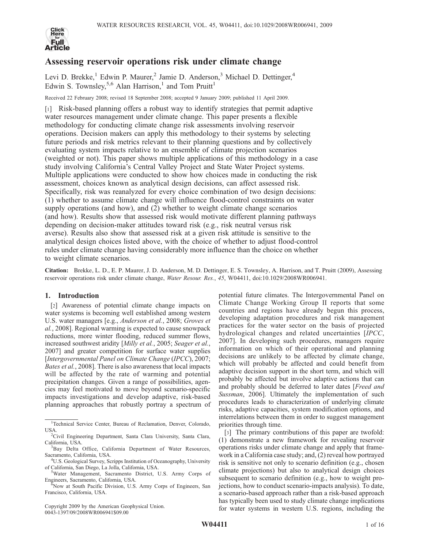

# Assessing reservoir operations risk under climate change

Levi D. Brekke,<sup>1</sup> Edwin P. Maurer,<sup>2</sup> Jamie D. Anderson,<sup>3</sup> Michael D. Dettinger,<sup>4</sup> Edwin S. Townsley,<sup>5,6</sup> Alan Harrison,<sup>1</sup> and Tom Pruitt<sup>1</sup>

Received 22 February 2008; revised 18 September 2008; accepted 9 January 2009; published 11 April 2009.

[1] Risk-based planning offers a robust way to identify strategies that permit adaptive water resources management under climate change. This paper presents a flexible methodology for conducting climate change risk assessments involving reservoir operations. Decision makers can apply this methodology to their systems by selecting future periods and risk metrics relevant to their planning questions and by collectively evaluating system impacts relative to an ensemble of climate projection scenarios (weighted or not). This paper shows multiple applications of this methodology in a case study involving California's Central Valley Project and State Water Project systems. Multiple applications were conducted to show how choices made in conducting the risk assessment, choices known as analytical design decisions, can affect assessed risk. Specifically, risk was reanalyzed for every choice combination of two design decisions: (1) whether to assume climate change will influence flood-control constraints on water supply operations (and how), and (2) whether to weight climate change scenarios (and how). Results show that assessed risk would motivate different planning pathways depending on decision-maker attitudes toward risk (e.g., risk neutral versus risk averse). Results also show that assessed risk at a given risk attitude is sensitive to the analytical design choices listed above, with the choice of whether to adjust flood-control rules under climate change having considerably more influence than the choice on whether to weight climate scenarios.

Citation: Brekke, L. D., E. P. Maurer, J. D. Anderson, M. D. Dettinger, E. S. Townsley, A. Harrison, and T. Pruitt (2009), Assessing reservoir operations risk under climate change, Water Resour. Res., 45, W04411, doi:10.1029/2008WR006941.

## 1. Introduction

[2] Awareness of potential climate change impacts on water systems is becoming well established among western U.S. water managers [e.g., Anderson et al., 2008; Groves et al., 2008]. Regional warming is expected to cause snowpack reductions, more winter flooding, reduced summer flows, increased southwest aridity [Milly et al., 2005; Seager et al., 2007] and greater competition for surface water supplies [Intergovernmental Panel on Climate Change (IPCC), 2007; Bates et al., 2008]. There is also awareness that local impacts will be affected by the rate of warming and potential precipitation changes. Given a range of possibilities, agencies may feel motivated to move beyond scenario-specific impacts investigations and develop adaptive, risk-based planning approaches that robustly portray a spectrum of

Copyright 2009 by the American Geophysical Union. 0043-1397/09/2008WR006941\$09.00

potential future climates. The Intergovernmental Panel on Climate Change Working Group II reports that some countries and regions have already begun this process, developing adaptation procedures and risk management practices for the water sector on the basis of projected hydrological changes and related uncertainties [IPCC, 2007]. In developing such procedures, managers require information on which of their operational and planning decisions are unlikely to be affected by climate change, which will probably be affected and could benefit from adaptive decision support in the short term, and which will probably be affected but involve adaptive actions that can and probably should be deferred to later dates [*Freed and* Sussman, 2006]. Ultimately the implementation of such procedures leads to characterization of underlying climate risks, adaptive capacities, system modification options, and interrelations between them in order to suggest management priorities through time.

[3] The primary contributions of this paper are twofold: (1) demonstrate a new framework for revealing reservoir operations risks under climate change and apply that framework in a California case study; and, (2) reveal how portrayed risk is sensitive not only to scenario definition (e.g., chosen climate projections) but also to analytical design choices subsequent to scenario definition (e.g., how to weight projections, how to conduct scenario-impacts analysis). To date, a scenario-based approach rather than a risk-based approach has typically been used to study climate change implications for water systems in western U.S. regions, including the

<sup>&</sup>lt;sup>1</sup>Technical Service Center, Bureau of Reclamation, Denver, Colorado, USA.

<sup>&</sup>lt;sup>2</sup>Civil Engineering Department, Santa Clara University, Santa Clara, California, USA.

<sup>&</sup>lt;sup>3</sup>Bay Delta Office, California Department of Water Resources, Sacramento, California, USA. <sup>4</sup>

<sup>&</sup>lt;sup>4</sup>U.S. Geological Survey, Scripps Institution of Oceanography, University of California, San Diego, La Jolla, California, USA. <sup>5</sup>

Water Management, Sacramento District, U.S. Army Corps of Engineers, Sacramento, California, USA.<br>
<sup>6</sup>Now at South Pacific Division, U.S. Army Corps of Engineers, San

Francisco, California, USA.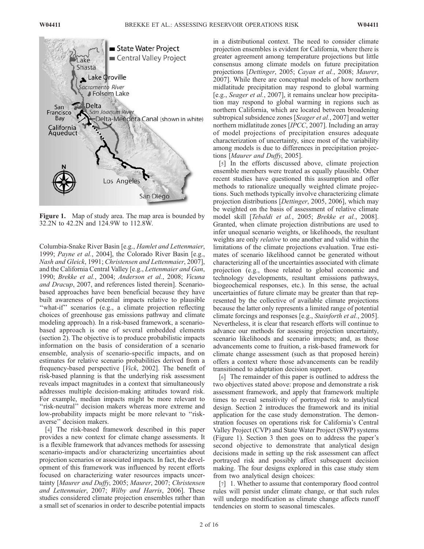

Figure 1. Map of study area. The map area is bounded by 32.2N to 42.2N and 124.9W to 112.8W.

Columbia-Snake River Basin [e.g., Hamlet and Lettenmaier, 1999; Payne et al., 2004], the Colorado River Basin [e.g., Nash and Gleick, 1991; Christensen and Lettenmaier, 2007], and the California Central Valley [e.g., Lettenmaier and Gan, 1990; Brekke et al., 2004; Anderson et al., 2008; Vicuna and Dracup, 2007, and references listed therein]. Scenariobased approaches have been beneficial because they have built awareness of potential impacts relative to plausible ''what-if'' scenarios (e.g., a climate projection reflecting choices of greenhouse gas emissions pathway and climate modeling approach). In a risk-based framework, a scenariobased approach is one of several embedded elements (section 2). The objective is to produce probabilistic impacts information on the basis of consideration of a scenario ensemble, analysis of scenario-specific impacts, and on estimates for relative scenario probabilities derived from a frequency-based perspective [Vick, 2002]. The benefit of risk-based planning is that the underlying risk assessment reveals impact magnitudes in a context that simultaneously addresses multiple decision-making attitudes toward risk. For example, median impacts might be more relevant to "risk-neutral" decision makers whereas more extreme and low-probability impacts might be more relevant to "riskaverse'' decision makers.

[4] The risk-based framework described in this paper provides a new context for climate change assessments. It is a flexible framework that advances methods for assessing scenario-impacts and/or characterizing uncertainties about projection scenarios or associated impacts. In fact, the development of this framework was influenced by recent efforts focused on characterizing water resources impacts uncertainty [Maurer and Duffy, 2005; Maurer, 2007; Christensen and Lettenmaier, 2007; Wilby and Harris, 2006]. These studies considered climate projection ensembles rather than a small set of scenarios in order to describe potential impacts

in a distributional context. The need to consider climate projection ensembles is evident for California, where there is greater agreement among temperature projections but little consensus among climate models on future precipitation projections [Dettinger, 2005; Cayan et al., 2008; Maurer, 2007]. While there are conceptual models of how northern midlatitude precipitation may respond to global warming [e.g., Seager et al., 2007], it remains unclear how precipitation may respond to global warming in regions such as northern California, which are located between broadening subtropical subsidence zones [Seager et al., 2007] and wetter northern midlatitude zones [IPCC, 2007]. Including an array of model projections of precipitation ensures adequate characterization of uncertainty, since most of the variability among models is due to differences in precipitation projections [Maurer and Duffy, 2005].

[5] In the efforts discussed above, climate projection ensemble members were treated as equally plausible. Other recent studies have questioned this assumption and offer methods to rationalize unequally weighted climate projections. Such methods typically involve characterizing climate projection distributions [Dettinger, 2005, 2006], which may be weighted on the basis of assessment of relative climate model skill [Tebaldi et al., 2005; Brekke et al., 2008]. Granted, when climate projection distributions are used to infer unequal scenario weights, or likelihoods, the resultant weights are only *relative* to one another and valid within the limitations of the climate projections evaluation. True estimates of scenario likelihood cannot be generated without characterizing all of the uncertainties associated with climate projection (e.g., those related to global economic and technology developments, resultant emissions pathways, biogeochemical responses, etc.). In this sense, the actual uncertainties of future climate may be greater than that represented by the collective of available climate projections because the latter only represents a limited range of potential climate forcings and responses [e.g., Stainforth et al., 2005]. Nevertheless, it is clear that research efforts will continue to advance our methods for assessing projection uncertainty, scenario likelihoods and scenario impacts; and, as those advancements come to fruition, a risk-based framework for climate change assessment (such as that proposed herein) offers a context where those advancements can be readily transitioned to adaptation decision support.

[6] The remainder of this paper is outlined to address the two objectives stated above: propose and demonstrate a risk assessment framework, and apply that framework multiple times to reveal sensitivity of portrayed risk to analytical design. Section 2 introduces the framework and its initial application for the case study demonstration. The demonstration focuses on operations risk for California's Central Valley Project (CVP) and State Water Project (SWP) systems (Figure 1). Section 3 then goes on to address the paper's second objective to demonstrate that analytical design decisions made in setting up the risk assessment can affect portrayed risk and possibly affect subsequent decision making. The four designs explored in this case study stem from two analytical design choices:

[7] 1. Whether to assume that contemporary flood control rules will persist under climate change, or that such rules will undergo modification as climate change affects runoff tendencies on storm to seasonal timescales.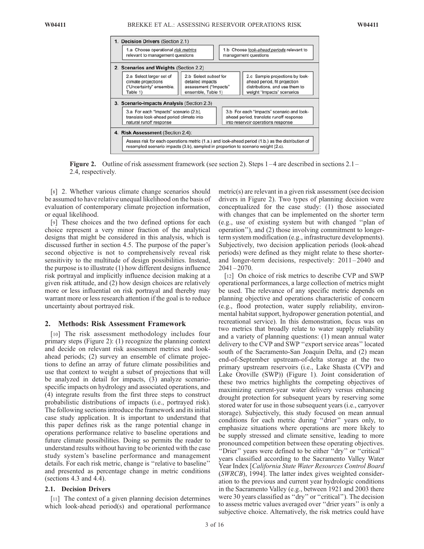

Figure 2. Outline of risk assessment framework (see section 2). Steps 1 – 4 are described in sections 2.1 – 2.4, respectively.

[8] 2. Whether various climate change scenarios should be assumed to have relative unequal likelihood on the basis of evaluation of contemporary climate projection information, or equal likelihood.

[9] These choices and the two defined options for each choice represent a very minor fraction of the analytical designs that might be considered in this analysis, which is discussed further in section 4.5. The purpose of the paper's second objective is not to comprehensively reveal risk sensitivity to the multitude of design possibilities. Instead, the purpose is to illustrate (1) how different designs influence risk portrayal and implicitly influence decision making at a given risk attitude, and (2) how design choices are relatively more or less influential on risk portrayal and thereby may warrant more or less research attention if the goal is to reduce uncertainty about portrayed risk.

## 2. Methods: Risk Assessment Framework

[10] The risk assessment methodology includes four primary steps (Figure 2): (1) recognize the planning context and decide on relevant risk assessment metrics and lookahead periods; (2) survey an ensemble of climate projections to define an array of future climate possibilities and use that context to weight a subset of projections that will be analyzed in detail for impacts, (3) analyze scenariospecific impacts on hydrology and associated operations, and (4) integrate results from the first three steps to construct probabilistic distributions of impacts (i.e., portrayed risk). The following sections introduce the framework and its initial case study application. It is important to understand that this paper defines risk as the range potential change in operations performance relative to baseline operations and future climate possibilities. Doing so permits the reader to understand results without having to be oriented with the case study system's baseline performance and management details. For each risk metric, change is ''relative to baseline'' and presented as percentage change in metric conditions (sections 4.3 and 4.4).

#### 2.1. Decision Drivers

[11] The context of a given planning decision determines which look-ahead period(s) and operational performance metric(s) are relevant in a given risk assessment (see decision drivers in Figure 2). Two types of planning decision were conceptualized for the case study: (1) those associated with changes that can be implemented on the shorter term (e.g., use of existing system but with changed ''plan of operation''), and (2) those involving commitment to longerterm system modification (e.g., infrastructure developments). Subjectively, two decision application periods (look-ahead periods) were defined as they might relate to these shorterand longer-term decisions, respectively:  $2011 - 2040$  and  $2041 - 2070.$ 

[12] On choice of risk metrics to describe CVP and SWP operational performances, a large collection of metrics might be used. The relevance of any specific metric depends on planning objective and operations characteristic of concern (e.g., flood protection, water supply reliability, environmental habitat support, hydropower generation potential, and recreational service). In this demonstration, focus was on two metrics that broadly relate to water supply reliability and a variety of planning questions: (1) mean annual water delivery to the CVP and SWP ''export service areas'' located south of the Sacramento-San Joaquin Delta, and (2) mean end-of-September upstream-of-delta storage at the two primary upstream reservoirs (i.e., Lake Shasta (CVP) and Lake Oroville (SWP)) (Figure 1). Joint consideration of these two metrics highlights the competing objectives of maximizing current-year water delivery versus enhancing drought protection for subsequent years by reserving some stored water for use in those subsequent years (i.e., carryover storage). Subjectively, this study focused on mean annual conditions for each metric during ''drier'' years only, to emphasize situations where operations are more likely to be supply stressed and climate sensitive, leading to more pronounced competition between these operating objectives. ''Drier'' years were defined to be either ''dry'' or ''critical'' years classified according to the Sacramento Valley Water Year Index [California State Water Resources Control Board (SWRCB), 1994]. The latter index gives weighted consideration to the previous and current year hydrologic conditions in the Sacramento Valley (e.g., between 1921 and 2003 there were 30 years classified as ''dry'' or ''critical''). The decision to assess metric values averaged over ''drier years'' is only a subjective choice. Alternatively, the risk metrics could have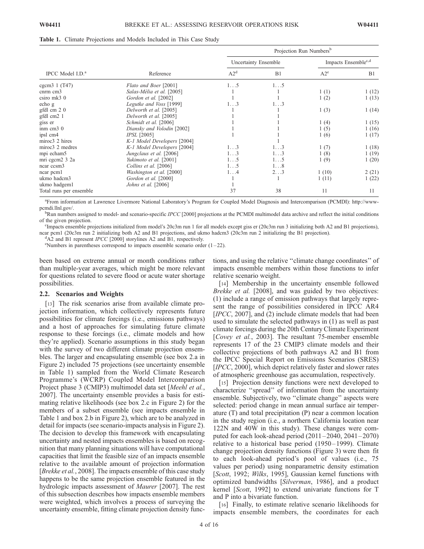#### Table 1. Climate Projections and Models Included in This Case Study

|                              |                             | Projection Run Numbers <sup>b</sup> |             |                                 |       |
|------------------------------|-----------------------------|-------------------------------------|-------------|---------------------------------|-------|
|                              |                             | <b>Uncertainty Ensemble</b>         |             | Impacts Ensemble <sup>c,d</sup> |       |
| IPCC Model I.D. <sup>a</sup> | Reference                   | A2 <sup>d</sup>                     | B1          | $A2^e$                          | B1    |
| cgcm $3 \frac{1}{1} (T47)$   | Flato and Boer [2001]       | $1\ldots 5$                         | $1\ldots 5$ |                                 |       |
| $cmm$ $cm3$                  | Salas-Mélia et al. [2005]   |                                     |             | 1(1)                            | 1(12) |
| csiro mk3 0                  | Gordon et al. [2002]        |                                     |             | 1(2)                            | 1(13) |
| echo g                       | Legutke and Voss [1999]     | 13                                  | 1.3         |                                 |       |
| gfdl cm 2 0                  | Delworth et al. [2005]      |                                     |             | 1(3)                            | 1(14) |
| gfdl cm2 1                   | Delworth et al. [2005]      |                                     |             |                                 |       |
| giss er                      | Schmidt et al. [2006]       |                                     |             | 1(4)                            | 1(15) |
| imm cm30                     | Diansky and Volodin [2002]  |                                     |             | 1(5)                            | 1(16) |
| ipsl cm4                     | <i>IPSL</i> [2005]          |                                     |             | 1(6)                            | 1(17) |
| miroc3 2 hires               | K-1 Model Developers [2004] |                                     |             |                                 |       |
| miroc3 2 medres              | K-1 Model Developers [2004] | $1\ldots 3$                         | $1\ldots 3$ | 1(7)                            | 1(18) |
| mpi echam5                   | Jungclaus et al. [2006]     | 13                                  | 1.3         | 1(8)                            | 1(19) |
| mri cgcm2 3 2a               | Yukimoto et al. [2001]      | 15                                  | 1.5         | 1(9)                            | 1(20) |
| ncar ccsm3                   | Collins et al. [2006]       | $1\ldots 5$                         | $1\ldots8$  |                                 |       |
| near peml                    | Washington et al. [2000]    | 14                                  | 23          | 1(10)                           | 2(21) |
| ukmo hadcm3                  | Gordon et al. [2000]        |                                     |             | 1(11)                           | 1(22) |
| ukmo hadgem1                 | Johns et al. $[2006]$       |                                     |             |                                 |       |
| Total runs per ensemble      |                             | 37                                  | 38          | 11                              | 11    |

a From information at Lawrence Livermore National Laboratory's Program for Coupled Model Diagnosis and Intercomparison (PCMDI): http://wwwpcmdi.llnl.gov/.

 ${}^{b}$ Run numbers assigned to model- and scenario-specific IPCC [2000] projections at the PCMDI multimodel data archive and reflect the initial conditions of the given projection.

<sup>c</sup>Impacts ensemble projections initialized from model's 20 $c$ 3m run 1 for all models except giss er (20 $c$ 3m run 3 initializing both A2 and B1 projections), ncar pcm1 (20c3m run 2 initializing both A2 and B1 projections, and ukmo hadcm3 (20c3m run 2 initializing the B1 projection).

 ${}^{d}$ A2 and B1 represent *IPCC* [2000] storylines A2 and B1, respectively.

 $\degree$ Numbers in parentheses correspond to impacts ensemble scenario order (1-22).

been based on extreme annual or month conditions rather than multiple-year averages, which might be more relevant for questions related to severe flood or acute water shortage possibilities.

#### 2.2. Scenarios and Weights

[13] The risk scenarios arise from available climate projection information, which collectively represents future possibilities for climate forcings (i.e., emissions pathways) and a host of approaches for simulating future climate response to these forcings (i.e., climate models and how they're applied). Scenario assumptions in this study began with the survey of two different climate projection ensembles. The larger and encapsulating ensemble (see box 2.a in Figure 2) included 75 projections (see uncertainty ensemble in Table 1) sampled from the World Climate Research Programme's (WCRP) Coupled Model Intercomparison Project phase 3 (CMIP3) multimodel data set [Meehl et al., 2007]. The uncertainty ensemble provides a basis for estimating relative likelihoods (see box 2.c in Figure 2) for the members of a subset ensemble (see impacts ensemble in Table 1 and box 2.b in Figure 2), which are to be analyzed in detail for impacts (see scenario-impacts analysis in Figure 2). The decision to develop this framework with encapsulating uncertainty and nested impacts ensembles is based on recognition that many planning situations will have computational capacities that limit the feasible size of an impacts ensemble relative to the available amount of projection information [Brekke et al., 2008]. The impacts ensemble of this case study happens to be the same projection ensemble featured in the hydrologic impacts assessment of Maurer [2007]. The rest of this subsection describes how impacts ensemble members were weighted, which involves a process of surveying the uncertainty ensemble, fitting climate projection density func-

tions, and using the relative ''climate change coordinates'' of impacts ensemble members within those functions to infer relative scenario weight.

[14] Membership in the uncertainty ensemble followed Brekke et al. [2008], and was guided by two objectives: (1) include a range of emission pathways that largely represent the range of possibilities considered in IPCC AR4 [*IPCC*, 2007], and (2) include climate models that had been used to simulate the selected pathways in (1) as well as past climate forcings during the 20th Century Climate Experiment [Covey et al., 2003]. The resultant 75-member ensemble represents 17 of the 23 CMIP3 climate models and their collective projections of both pathways A2 and B1 from the IPCC Special Report on Emissions Scenarios (SRES) [*IPCC*, 2000], which depict relatively faster and slower rates of atmospheric greenhouse gas accumulation, respectively.

[15] Projection density functions were next developed to characterize ''spread'' of information from the uncertainty ensemble. Subjectively, two ''climate change'' aspects were selected: period change in mean annual surface air temperature (T) and total precipitation (P) near a common location in the study region (i.e., a northern California location near 122N and 40W in this study). These changes were computed for each look-ahead period  $(2011 - 2040, 2041 - 2070)$ relative to a historical base period (1950–1999). Climate change projection density functions (Figure 3) were then fit to each look-ahead period's pool of values (i.e., 75 values per period) using nonparametric density estimation [Scott, 1992; Wilks, 1995], Gaussian kernel functions with optimized bandwidths [Silverman, 1986], and a product kernel [Scott, 1992] to extend univariate functions for T and P into a bivariate function.

[16] Finally, to estimate relative scenario likelihoods for impacts ensemble members, the coordinates for each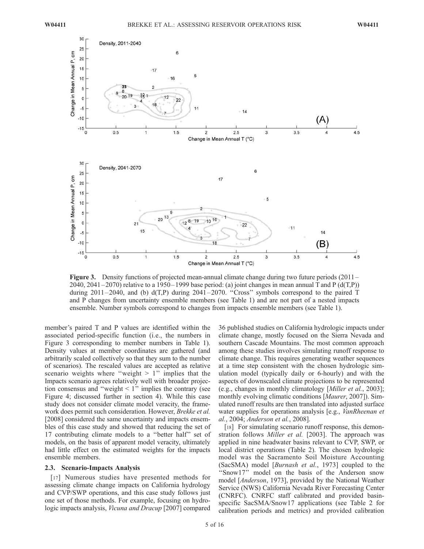

Figure 3. Density functions of projected mean-annual climate change during two future periods (2011 – 2040, 2041 – 2070) relative to a 1950 – 1999 base period: (a) joint changes in mean annual T and P (d(T,P)) during  $2011-2040$ , and (b)  $d(T,P)$  during  $2041-2070$ . "Cross" symbols correspond to the paired T and P changes from uncertainty ensemble members (see Table 1) and are not part of a nested impacts ensemble. Number symbols correspond to changes from impacts ensemble members (see Table 1).

member's paired T and P values are identified within the associated period-specific function (i.e., the numbers in Figure 3 corresponding to member numbers in Table 1). Density values at member coordinates are gathered (and arbitrarily scaled collectively so that they sum to the number of scenarios). The rescaled values are accepted as relative scenario weights where "weight  $> 1$ " implies that the Impacts scenario agrees relatively well with broader projection consensus and "weight  $\leq 1$ " implies the contrary (see Figure 4; discussed further in section 4). While this case study does not consider climate model veracity, the framework does permit such consideration. However, Brekke et al. [2008] considered the same uncertainty and impacts ensembles of this case study and showed that reducing the set of 17 contributing climate models to a ''better half'' set of models, on the basis of apparent model veracity, ultimately had little effect on the estimated weights for the impacts ensemble members.

## 2.3. Scenario-Impacts Analysis

[17] Numerous studies have presented methods for assessing climate change impacts on California hydrology and CVP/SWP operations, and this case study follows just one set of those methods. For example, focusing on hydrologic impacts analysis, Vicuna and Dracup [2007] compared

36 published studies on California hydrologic impacts under climate change, mostly focused on the Sierra Nevada and southern Cascade Mountains. The most common approach among these studies involves simulating runoff response to climate change. This requires generating weather sequences at a time step consistent with the chosen hydrologic simulation model (typically daily or 6-hourly) and with the aspects of downscaled climate projections to be represented (e.g., changes in monthly climatology [Miller et al., 2003]; monthly evolving climatic conditions [*Maurer*, 2007]). Simulated runoff results are then translated into adjusted surface water supplies for operations analysis [e.g., VanRheenan et al., 2004; Anderson et al., 2008].

[18] For simulating scenario runoff response, this demonstration follows Miller et al. [2003]. The approach was applied in nine headwater basins relevant to CVP, SWP, or local district operations (Table 2). The chosen hydrologic model was the Sacramento Soil Moisture Accounting (SacSMA) model [Burnash et al., 1973] coupled to the "Snow17" model on the basis of the Anderson snow model [Anderson, 1973], provided by the National Weather Service (NWS) California Nevada River Forecasting Center (CNRFC). CNRFC staff calibrated and provided basinspecific SacSMA/Snow17 applications (see Table 2 for calibration periods and metrics) and provided calibration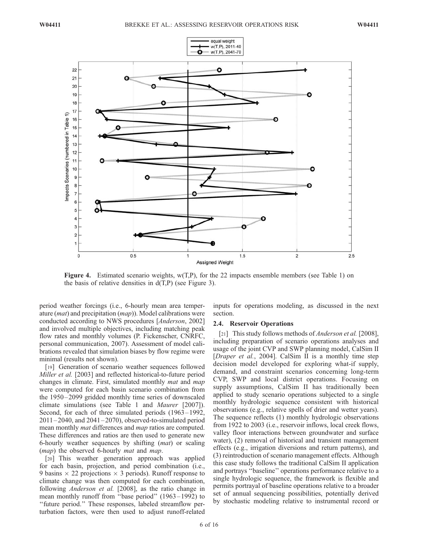

Figure 4. Estimated scenario weights, w(T,P), for the 22 impacts ensemble members (see Table 1) on the basis of relative densities in  $d(T,P)$  (see Figure 3).

period weather forcings (i.e., 6-hourly mean area temperature  $(mat)$  and precipitation  $(map)$ ). Model calibrations were conducted according to NWS procedures [Anderson, 2002] and involved multiple objectives, including matching peak flow rates and monthly volumes (P. Fickenscher, CNRFC, personal communication, 2007). Assessment of model calibrations revealed that simulation biases by flow regime were minimal (results not shown).

[19] Generation of scenario weather sequences followed Miller et al. [2003] and reflected historical-to-future period changes in climate. First, simulated monthly mat and map were computed for each basin scenario combination from the 1950–2099 gridded monthly time series of downscaled climate simulations (see Table 1 and Maurer [2007]). Second, for each of three simulated periods (1963–1992,  $2011 - 2040$ , and  $2041 - 2070$ ), observed-to-simulated period mean monthly *mat* differences and *map* ratios are computed. These differences and ratios are then used to generate new 6-hourly weather sequences by shifting (mat) or scaling (*map*) the observed 6-hourly *mat* and *map*.

[20] This weather generation approach was applied for each basin, projection, and period combination (i.e., 9 basins  $\times$  22 projections  $\times$  3 periods). Runoff response to climate change was then computed for each combination, following *Anderson et al.* [2008], as the ratio change in mean monthly runoff from ''base period'' (1963 – 1992) to ''future period.'' These responses, labeled streamflow perturbation factors, were then used to adjust runoff-related

inputs for operations modeling, as discussed in the next section.

## 2.4. Reservoir Operations

[21] This study follows methods of *Anderson et al.* [2008], including preparation of scenario operations analyses and usage of the joint CVP and SWP planning model, CalSim II [Draper et al., 2004]. CalSim II is a monthly time step decision model developed for exploring what-if supply, demand, and constraint scenarios concerning long-term CVP, SWP and local district operations. Focusing on supply assumptions, CalSim II has traditionally been applied to study scenario operations subjected to a single monthly hydrologic sequence consistent with historical observations (e.g., relative spells of drier and wetter years). The sequence reflects (1) monthly hydrologic observations from 1922 to 2003 (i.e., reservoir inflows, local creek flows, valley floor interactions between groundwater and surface water), (2) removal of historical and transient management effects (e.g., irrigation diversions and return patterns), and (3) reintroduction of scenario management effects. Although this case study follows the traditional CalSim II application and portrays ''baseline'' operations performance relative to a single hydrologic sequence, the framework is flexible and permits portrayal of baseline operations relative to a broader set of annual sequencing possibilities, potentially derived by stochastic modeling relative to instrumental record or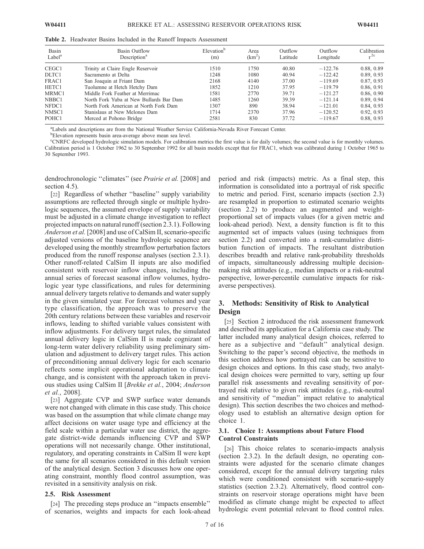| Basin<br>Label <sup>a</sup> | Basin Outflow<br>Description <sup>a</sup> | Elevation <sup>b</sup><br>(m) | Area<br>$(km^2)$ | Outflow<br>Latitude | Outflow<br>Longitude | Calibration<br>$^{\circ}$ |
|-----------------------------|-------------------------------------------|-------------------------------|------------------|---------------------|----------------------|---------------------------|
| CEGC1                       | Trinity at Claire Engle Reservoir         | 1510                          | 1750             | 40.80               | $-122.76$            | 0.88, 0.89                |
| DLTC1                       | Sacramento at Delta                       | 1248                          | 1080             | 40.94               | $-122.42$            | 0.89, 0.93                |
| FRAC1                       | San Joaquin at Friant Dam                 | 2168                          | 4140             | 37.00               | $-119.69$            | 0.87, 0.93                |
| HETC1                       | Tuolumne at Hetch Hetchy Dam              | 1852                          | 1210             | 37.95               | $-119.79$            | 0.86, 0.91                |
| MRMC1                       | Middle Fork Feather at Merrimac           | 1581                          | 2770             | 39.71               | $-121.27$            | 0.86, 0.90                |
| NBBC1                       | North Fork Yuba at New Bullards Bar Dam   | 1485                          | 1260             | 39.39               | $-121.14$            | 0.89, 0.94                |
| NFDC1                       | North Fork American at North Fork Dam     | 1307                          | 890              | 38.94               | $-121.01$            | 0.84, 0.93                |
| NMSC1                       | Stanislaus at New Melones Dam             | 1714                          | 2370             | 37.96               | $-120.52$            | 0.92, 0.93                |
| POHC1                       | Merced at Pohono Bridge                   | 2581                          | 830              | 37.72               | $-119.67$            | 0.88, 0.93                |

Table 2. Headwater Basins Included in the Runoff Impacts Assessment

a Labels and descriptions are from the National Weather Service California-Nevada River Forecast Center.

**Elevation represents basin area-average above mean sea level.** 

c CNRFC developed hydrologic simulation models. For calibration metrics the first value is for daily volumes; the second value is for monthly volumes. Calibration period is 1 October 1962 to 30 September 1992 for all basin models except that for FRAC1, which was calibrated during 1 October 1965 to 30 September 1993.

dendrochronologic "climates" (see *Prairie et al.* [2008] and section 4.5).

[22] Regardless of whether "baseline" supply variability assumptions are reflected through single or multiple hydrologic sequences, the assumed envelope of supply variability must be adjusted in a climate change investigation to reflect projected impacts on natural runoff (section 2.3.1). Following Anderson et al. [2008] and use of CalSim II, scenario-specific adjusted versions of the baseline hydrologic sequence are developed using the monthly streamflow perturbation factors produced from the runoff response analyses (section 2.3.1). Other runoff-related CalSim II inputs are also modified consistent with reservoir inflow changes, including the annual series of forecast seasonal inflow volumes, hydrologic year type classifications, and rules for determining annual delivery targets relative to demands and water supply in the given simulated year. For forecast volumes and year type classification, the approach was to preserve the 20th century relations between these variables and reservoir inflows, leading to shifted variable values consistent with inflow adjustments. For delivery target rules, the simulated annual delivery logic in CalSim II is made cognizant of long-term water delivery reliability using preliminary simulation and adjustment to delivery target rules. This action of preconditioning annual delivery logic for each scenario reflects some implicit operational adaptation to climate change, and is consistent with the approach taken in previous studies using CalSim II [Brekke et al., 2004; Anderson et al., 2008].

[23] Aggregate CVP and SWP surface water demands were not changed with climate in this case study. This choice was based on the assumption that while climate change may affect decisions on water usage type and efficiency at the field scale within a particular water use district, the aggregate district-wide demands influencing CVP and SWP operations will not necessarily change. Other institutional, regulatory, and operating constraints in CalSim II were kept the same for all scenarios considered in this default version of the analytical design. Section 3 discusses how one operating constraint, monthly flood control assumption, was revisited in a sensitivity analysis on risk.

#### 2.5. Risk Assessment

[24] The preceding steps produce an ''impacts ensemble'' of scenarios, weights and impacts for each look-ahead period and risk (impacts) metric. As a final step, this information is consolidated into a portrayal of risk specific to metric and period. First, scenario impacts (section 2.3) are resampled in proportion to estimated scenario weights (section 2.2) to produce an augmented and weightproportional set of impacts values (for a given metric and look-ahead period). Next, a density function is fit to this augmented set of impacts values (using techniques from section 2.2) and converted into a rank-cumulative distribution function of impacts. The resultant distribution describes breadth and relative rank-probability thresholds of impacts, simultaneously addressing multiple decisionmaking risk attitudes (e.g., median impacts or a risk-neutral perspective, lower-percentile cumulative impacts for riskaverse perspectives).

# 3. Methods: Sensitivity of Risk to Analytical Design

[25] Section 2 introduced the risk assessment framework and described its application for a California case study. The latter included many analytical design choices, referred to here as a subjective and ''default'' analytical design. Switching to the paper's second objective, the methods in this section address how portrayed risk can be sensitive to design choices and options. In this case study, two analytical design choices were permitted to vary, setting up four parallel risk assessments and revealing sensitivity of portrayed risk relative to given risk attitudes (e.g., risk-neutral and sensitivity of ''median'' impact relative to analytical design). This section describes the two choices and methodology used to establish an alternative design option for choice 1.

## 3.1. Choice 1: Assumptions about Future Flood Control Constraints

[26] This choice relates to scenario-impacts analysis (section 2.3.2). In the default design, no operating constraints were adjusted for the scenario climate changes considered, except for the annual delivery targeting rules which were conditioned consistent with scenario-supply statistics (section 2.3.2). Alternatively, flood control constraints on reservoir storage operations might have been modified as climate change might be expected to affect hydrologic event potential relevant to flood control rules.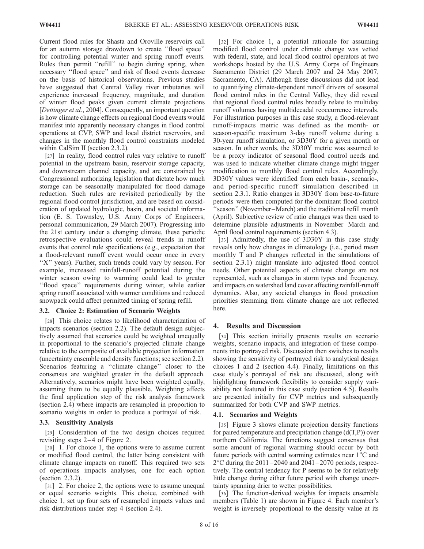Current flood rules for Shasta and Oroville reservoirs call for an autumn storage drawdown to create ''flood space'' for controlling potential winter and spring runoff events. Rules then permit ''refill'' to begin during spring, when necessary ''flood space'' and risk of flood events decrease on the basis of historical observations. Previous studies have suggested that Central Valley river tributaries will experience increased frequency, magnitude, and duration of winter flood peaks given current climate projections [Dettinger et al., 2004]. Consequently, an important question is how climate change effects on regional flood events would manifest into apparently necessary changes in flood control operations at CVP, SWP and local district reservoirs, and changes in the monthly flood control constraints modeled within CalSim II (section 2.3.2).

[27] In reality, flood control rules vary relative to runoff potential in the upstream basin, reservoir storage capacity, and downstream channel capacity, and are constrained by Congressional authorizing legislation that dictate how much storage can be seasonally manipulated for flood damage reduction. Such rules are revisited periodically by the regional flood control jurisdiction, and are based on consideration of updated hydrologic, basin, and societal information (E. S. Townsley, U.S. Army Corps of Engineers, personal communication, 29 March 2007). Progressing into the 21st century under a changing climate, these periodic retrospective evaluations could reveal trends in runoff events that control rule specifications (e.g., expectation that a flood-relevant runoff event would occur once in every "X" years). Further, such trends could vary by season. For example, increased rainfall-runoff potential during the winter season owing to warming could lead to greater ''flood space'' requirements during winter, while earlier spring runoff associated with warmer conditions and reduced snowpack could affect permitted timing of spring refill.

## 3.2. Choice 2: Estimation of Scenario Weights

[28] This choice relates to likelihood characterization of impacts scenarios (section 2.2). The default design subjectively assumed that scenarios could be weighted unequally in proportional to the scenario's projected climate change relative to the composite of available projection information (uncertainty ensemble and density functions; see section 2.2). Scenarios featuring a ''climate change'' closer to the consensus are weighted greater in the default approach. Alternatively, scenarios might have been weighted equally, assuming them to be equally plausible. Weighting affects the final application step of the risk analysis framework (section 2.4) where impacts are resampled in proportion to scenario weights in order to produce a portrayal of risk.

## 3.3. Sensitivity Analysis

[29] Consideration of the two design choices required revisiting steps  $2-4$  of Figure 2.

[30] 1. For choice 1, the options were to assume current or modified flood control, the latter being consistent with climate change impacts on runoff. This required two sets of operations impacts analyses, one for each option (section 2.3.2).

[31] 2. For choice 2, the options were to assume unequal or equal scenario weights. This choice, combined with choice 1, set up four sets of resampled impacts values and risk distributions under step 4 (section 2.4).

[32] For choice 1, a potential rationale for assuming modified flood control under climate change was vetted with federal, state, and local flood control operators at two workshops hosted by the U.S. Army Corps of Engineers Sacramento District (29 March 2007 and 24 May 2007, Sacramento, CA). Although these discussions did not lead to quantifying climate-dependent runoff drivers of seasonal flood control rules in the Central Valley, they did reveal that regional flood control rules broadly relate to multiday runoff volumes having multidecadal reoccurrence intervals. For illustration purposes in this case study, a flood-relevant runoff-impacts metric was defined as the month- or season-specific maximum 3-day runoff volume during a 30-year runoff simulation, or 3D30Y for a given month or season. In other words, the 3D30Y metric was assumed to be a proxy indicator of seasonal flood control needs and was used to indicate whether climate change might trigger modification to monthly flood control rules. Accordingly, 3D30Y values were identified from each basin-, scenario-, and period-specific runoff simulation described in section 2.3.1. Ratio changes in 3D30Y from base-to-future periods were then computed for the dominant flood control 'season" (November-March) and the traditional refill month (April). Subjective review of ratio changes was then used to determine plausible adjustments in November–March and April flood control requirements (section 4.3).

[33] Admittedly, the use of 3D30Y in this case study reveals only how changes in climatology (i.e., period mean monthly T and P changes reflected in the simulations of section 2.3.1) might translate into adjusted flood control needs. Other potential aspects of climate change are not represented, such as changes in storm types and frequency, and impacts on watershed land cover affecting rainfall-runoff dynamics. Also, any societal changes in flood protection priorities stemming from climate change are not reflected here.

## 4. Results and Discussion

[34] This section initially presents results on scenario weights, scenario impacts, and integration of these components into portrayed risk. Discussion then switches to results showing the sensitivity of portrayed risk to analytical design choices 1 and 2 (section 4.4). Finally, limitations on this case study's portrayal of risk are discussed, along with highlighting framework flexibility to consider supply variability not featured in this case study (section 4.5). Results are presented initially for CVP metrics and subsequently summarized for both CVP and SWP metrics.

#### 4.1. Scenarios and Weights

[35] Figure 3 shows climate projection density functions for paired temperature and precipitation change  $(d(T, P))$  over northern California. The functions suggest consensus that some amount of regional warming should occur by both future periods with central warming estimates near  $1^{\circ}$ C and  $2^{\circ}$ C during the 2011–2040 and 2041–2070 periods, respectively. The central tendency for P seems to be for relatively little change during either future period with change uncertainty spanning drier to wetter possibilities.

[36] The function-derived weights for impacts ensemble members (Table 1) are shown in Figure 4. Each member's weight is inversely proportional to the density value at its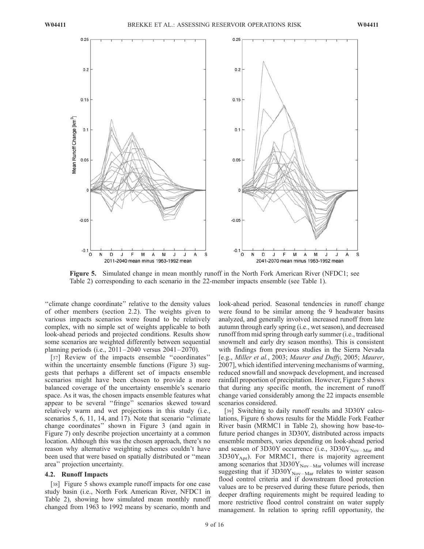

Figure 5. Simulated change in mean monthly runoff in the North Fork American River (NFDC1; see Table 2) corresponding to each scenario in the 22-member impacts ensemble (see Table 1).

"climate change coordinate" relative to the density values of other members (section 2.2). The weights given to various impacts scenarios were found to be relatively complex, with no simple set of weights applicable to both look-ahead periods and projected conditions. Results show some scenarios are weighted differently between sequential planning periods (i.e., 2011– 2040 versus 2041 –2070).

[37] Review of the impacts ensemble "coordinates" within the uncertainty ensemble functions (Figure 3) suggests that perhaps a different set of impacts ensemble scenarios might have been chosen to provide a more balanced coverage of the uncertainty ensemble's scenario space. As it was, the chosen impacts ensemble features what appear to be several ''fringe'' scenarios skewed toward relatively warm and wet projections in this study (i.e., scenarios 5, 6, 11, 14, and 17). Note that scenario "climate change coordinates'' shown in Figure 3 (and again in Figure 7) only describe projection uncertainty at a common location. Although this was the chosen approach, there's no reason why alternative weighting schemes couldn't have been used that were based on spatially distributed or ''mean area'' projection uncertainty.

#### 4.2. Runoff Impacts

[38] Figure 5 shows example runoff impacts for one case study basin (i.e., North Fork American River, NFDC1 in Table 2), showing how simulated mean monthly runoff changed from 1963 to 1992 means by scenario, month and

look-ahead period. Seasonal tendencies in runoff change were found to be similar among the 9 headwater basins analyzed, and generally involved increased runoff from late autumn through early spring (i.e., wet season), and decreased runoff from mid spring through early summer (i.e., traditional snowmelt and early dry season months). This is consistent with findings from previous studies in the Sierra Nevada [e.g., Miller et al., 2003; Maurer and Duffy, 2005; Maurer, 2007], which identified intervening mechanisms of warming, reduced snowfall and snowpack development, and increased rainfall proportion of precipitation. However, Figure 5 shows that during any specific month, the increment of runoff change varied considerably among the 22 impacts ensemble scenarios considered.

[39] Switching to daily runoff results and 3D30Y calculations, Figure 6 shows results for the Middle Fork Feather River basin (MRMC1 in Table 2), showing how base-tofuture period changes in 3D30Y, distributed across impacts ensemble members, varies depending on look-ahead period and season of 3D30Y occurrence (i.e.,  $3D30Y_{\text{Nov-Mar}}$  and  $3D30Y_{\text{Apr}}$ ). For MRMC1, there is majority agreement among scenarios that  $3D30Y_{\text{Nov-Mar}}$  volumes will increase suggesting that if  $3D30Y_{\text{Nov-Mar}}$  relates to winter season flood control criteria and if downstream flood protection values are to be preserved during these future periods, then deeper drafting requirements might be required leading to more restrictive flood control constraint on water supply management. In relation to spring refill opportunity, the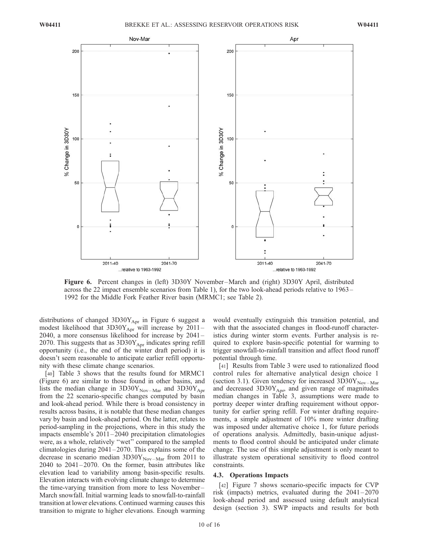

Figure 6. Percent changes in (left) 3D30Y November –March and (right) 3D30Y April, distributed across the 22 impact ensemble scenarios from Table 1), for the two look-ahead periods relative to 1963– 1992 for the Middle Fork Feather River basin (MRMC1; see Table 2).

distributions of changed  $3D30Y_{Apr}$  in Figure 6 suggest a modest likelihood that  $3D30Y_{\text{Apr}}$  will increase by 2011-2040, a more consensus likelihood for increase by 2041 – 2070. This suggests that as  $3D30Y_{Apr}$  indicates spring refill opportunity (i.e., the end of the winter draft period) it is doesn't seem reasonable to anticipate earlier refill opportunity with these climate change scenarios.

[40] Table 3 shows that the results found for MRMC1 (Figure 6) are similar to those found in other basins, and lists the median change in  $3D30Y_{\text{Nov-Mar}}$  and  $3D30Y_{\text{Apr}}$ from the 22 scenario-specific changes computed by basin and look-ahead period. While there is broad consistency in results across basins, it is notable that these median changes vary by basin and look-ahead period. On the latter, relates to period-sampling in the projections, where in this study the impacts ensemble's 2011 – 2040 precipitation climatologies were, as a whole, relatively "wet" compared to the sampled climatologies during  $2041 - 2070$ . This explains some of the decrease in scenario median  $3D30Y_{\text{Nov-Mar}}$  from 2011 to  $2040$  to  $2041 - 2070$ . On the former, basin attributes like elevation lead to variability among basin-specific results. Elevation interacts with evolving climate change to determine the time-varying transition from more to less November-March snowfall. Initial warming leads to snowfall-to-rainfall transition at lower elevations. Continued warming causes this transition to migrate to higher elevations. Enough warming

would eventually extinguish this transition potential, and with that the associated changes in flood-runoff characteristics during winter storm events. Further analysis is required to explore basin-specific potential for warming to trigger snowfall-to-rainfall transition and affect flood runoff potential through time.

[41] Results from Table 3 were used to rationalized flood control rules for alternative analytical design choice 1 (section 3.1). Given tendency for increased  $3D30Y_{\text{Nov-Mar}}$ and decreased  $3D30Y_{Apr}$ , and given range of magnitudes median changes in Table 3, assumptions were made to portray deeper winter drafting requirement without opportunity for earlier spring refill. For winter drafting requirements, a simple adjustment of 10% more winter drafting was imposed under alternative choice 1, for future periods of operations analysis. Admittedly, basin-unique adjustments to flood control should be anticipated under climate change. The use of this simple adjustment is only meant to illustrate system operational sensitivity to flood control constraints.

#### 4.3. Operations Impacts

[42] Figure 7 shows scenario-specific impacts for CVP risk (impacts) metrics, evaluated during the 2041 – 2070 look-ahead period and assessed using default analytical design (section 3). SWP impacts and results for both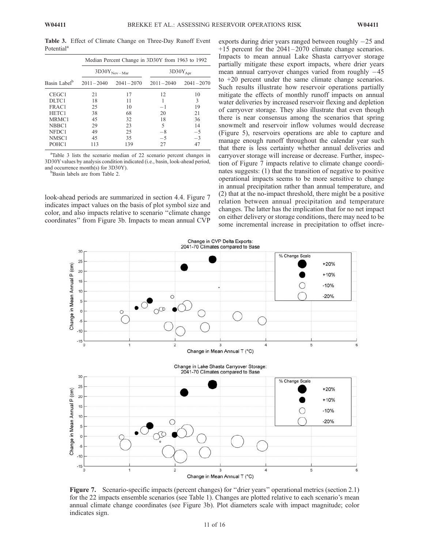Table 3. Effect of Climate Change on Three-Day Runoff Event Potential<sup>a</sup>

|                          | Median Percent Change in 3D30Y from 1963 to 1992 |               |                      |               |  |
|--------------------------|--------------------------------------------------|---------------|----------------------|---------------|--|
|                          | $3D30Y_{\text{Nov-Mar}}$                         |               | $3D30Y_{\text{Apr}}$ |               |  |
| Basin Label <sup>b</sup> | $2011 - 2040$                                    | $2041 - 2070$ | $2011 - 2040$        | $2041 - 2070$ |  |
| CEGC <sub>1</sub>        | 21                                               | 17            | 12                   | 10            |  |
| DLTC1                    | 18                                               | 11            |                      | 3             |  |
| FRAC1                    | 25                                               | 10            | $-1$                 | 19            |  |
| HETC1                    | 38                                               | 68            | 20                   | 21            |  |
| MRMC <sub>1</sub>        | 45                                               | 32            | 18                   | 36            |  |
| NBBC1                    | 29                                               | 23            | 5                    | 14            |  |
| NFDC1                    | 49                                               | 25            | $-8$                 | $-5$          |  |
| NMSC <sub>1</sub>        | 45                                               | 35            | $-5$                 | $-3$          |  |
| POHC1                    | 113                                              | 139           | 27                   | 47            |  |

aTable 3 lists the scenario median of 22 scenario percent changes in 3D30Y values by analysis condition indicated (i.e., basin, look-ahead period, and occurrence month(s) for 3D30Y).

<sup>b</sup>Basin labels are from Table 2.

look-ahead periods are summarized in section 4.4. Figure 7 indicates impact values on the basis of plot symbol size and color, and also impacts relative to scenario ''climate change coordinates'' from Figure 3b. Impacts to mean annual CVP

exports during drier years ranged between roughly  $-25$  and  $+15$  percent for the  $2041-2070$  climate change scenarios. Impacts to mean annual Lake Shasta carryover storage partially mitigate these export impacts, where drier years mean annual carryover changes varied from roughly  $-45$ to +20 percent under the same climate change scenarios. Such results illustrate how reservoir operations partially mitigate the effects of monthly runoff impacts on annual water deliveries by increased reservoir flexing and depletion of carryover storage. They also illustrate that even though there is near consensus among the scenarios that spring snowmelt and reservoir inflow volumes would decrease (Figure 5), reservoirs operations are able to capture and manage enough runoff throughout the calendar year such that there is less certainty whether annual deliveries and carryover storage will increase or decrease. Further, inspection of Figure 7 impacts relative to climate change coordinates suggests: (1) that the transition of negative to positive operational impacts seems to be more sensitive to change in annual precipitation rather than annual temperature, and (2) that at the no-impact threshold, there might be a positive relation between annual precipitation and temperature changes. The latter has the implication that for no net impact on either delivery or storage conditions, there may need to be some incremental increase in precipitation to offset incre-



Figure 7. Scenario-specific impacts (percent changes) for ''drier years'' operational metrics (section 2.1) for the 22 impacts ensemble scenarios (see Table 1). Changes are plotted relative to each scenario's mean annual climate change coordinates (see Figure 3b). Plot diameters scale with impact magnitude; color indicates sign.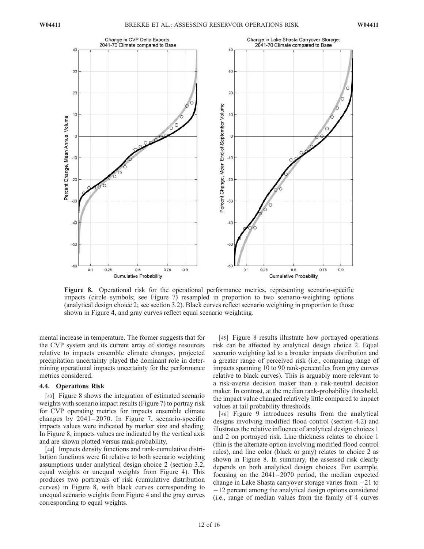

Figure 8. Operational risk for the operational performance metrics, representing scenario-specific impacts (circle symbols; see Figure 7) resampled in proportion to two scenario-weighting options (analytical design choice 2; see section 3.2). Black curves reflect scenario weighting in proportion to those shown in Figure 4, and gray curves reflect equal scenario weighting.

mental increase in temperature. The former suggests that for the CVP system and its current array of storage resources relative to impacts ensemble climate changes, projected precipitation uncertainty played the dominant role in determining operational impacts uncertainty for the performance metrics considered.

#### 4.4. Operations Risk

[43] Figure 8 shows the integration of estimated scenario weights with scenario impact results (Figure 7) to portray risk for CVP operating metrics for impacts ensemble climate changes by  $2041-2070$ . In Figure 7, scenario-specific impacts values were indicated by marker size and shading. In Figure 8, impacts values are indicated by the vertical axis and are shown plotted versus rank-probability.

[44] Impacts density functions and rank-cumulative distribution functions were fit relative to both scenario weighting assumptions under analytical design choice 2 (section 3.2, equal weights or unequal weights from Figure 4). This produces two portrayals of risk (cumulative distribution curves) in Figure 8, with black curves corresponding to unequal scenario weights from Figure 4 and the gray curves corresponding to equal weights.

[45] Figure 8 results illustrate how portrayed operations risk can be affected by analytical design choice 2. Equal scenario weighting led to a broader impacts distribution and a greater range of perceived risk (i.e., comparing range of impacts spanning 10 to 90 rank-percentiles from gray curves relative to black curves). This is arguably more relevant to a risk-averse decision maker than a risk-neutral decision maker. In contrast, at the median rank-probability threshold, the impact value changed relatively little compared to impact values at tail probability thresholds.

[46] Figure 9 introduces results from the analytical designs involving modified flood control (section 4.2) and illustrates the relative influence of analytical design choices 1 and 2 on portrayed risk. Line thickness relates to choice 1 (thin is the alternate option involving modified flood control rules), and line color (black or gray) relates to choice 2 as shown in Figure 8. In summary, the assessed risk clearly depends on both analytical design choices. For example, focusing on the 2041 –2070 period, the median expected change in Lake Shasta carryover storage varies from -21 to -12 percent among the analytical design options considered (i.e., range of median values from the family of 4 curves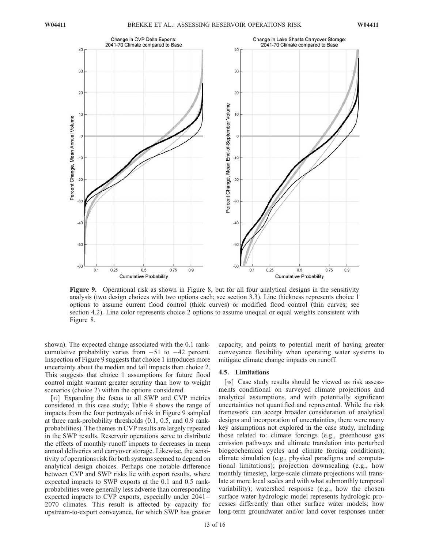

Figure 9. Operational risk as shown in Figure 8, but for all four analytical designs in the sensitivity analysis (two design choices with two options each; see section 3.3). Line thickness represents choice 1 options to assume current flood control (thick curves) or modified flood control (thin curves; see section 4.2). Line color represents choice 2 options to assume unequal or equal weights consistent with Figure 8.

shown). The expected change associated with the 0.1 rankcumulative probability varies from  $-51$  to  $-42$  percent. Inspection of Figure 9 suggests that choice 1 introduces more uncertainty about the median and tail impacts than choice 2. This suggests that choice 1 assumptions for future flood control might warrant greater scrutiny than how to weight scenarios (choice 2) within the options considered.

[47] Expanding the focus to all SWP and CVP metrics considered in this case study; Table 4 shows the range of impacts from the four portrayals of risk in Figure 9 sampled at three rank-probability thresholds (0.1, 0.5, and 0.9 rankprobabilities). The themes in CVP results are largely repeated in the SWP results. Reservoir operations serve to distribute the effects of monthly runoff impacts to decreases in mean annual deliveries and carryover storage. Likewise, the sensitivity of operations risk for both systems seemed to depend on analytical design choices. Perhaps one notable difference between CVP and SWP risks lie with export results, where expected impacts to SWP exports at the 0.1 and 0.5 rankprobabilities were generally less adverse than corresponding expected impacts to CVP exports, especially under 2041 – 2070 climates. This result is affected by capacity for upstream-to-export conveyance, for which SWP has greater

capacity, and points to potential merit of having greater conveyance flexibility when operating water systems to mitigate climate change impacts on runoff.

# 4.5. Limitations

[48] Case study results should be viewed as risk assessments conditional on surveyed climate projections and analytical assumptions, and with potentially significant uncertainties not quantified and represented. While the risk framework can accept broader consideration of analytical designs and incorporation of uncertainties, there were many key assumptions not explored in the case study, including those related to: climate forcings (e.g., greenhouse gas emission pathways and ultimate translation into perturbed biogeochemical cycles and climate forcing conditions); climate simulation (e.g., physical paradigms and computational limitations); projection downscaling (e.g., how monthly timestep, large-scale climate projections will translate at more local scales and with what submonthly temporal variability); watershed response (e.g., how the chosen surface water hydrologic model represents hydrologic processes differently than other surface water models; how long-term groundwater and/or land cover responses under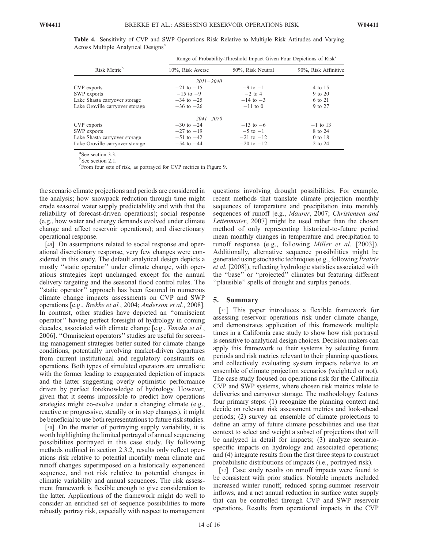|                                 | Range of Probability-Threshold Impact Given Four Depictions of Risk <sup>c</sup> |                |                      |  |  |
|---------------------------------|----------------------------------------------------------------------------------|----------------|----------------------|--|--|
| Risk Metric <sup>b</sup>        | 10%, Risk Averse<br>50%, Risk Neutral                                            |                | 90%, Risk Affinitive |  |  |
|                                 | $2011 - 2040$                                                                    |                |                      |  |  |
| CVP exports                     | $-21$ to $-15$                                                                   | $-9$ to $-1$   | 4 to 15              |  |  |
| SWP exports                     | $-15$ to $-9$                                                                    | $-2$ to 4      | 9 to 20              |  |  |
| Lake Shasta carryover storage   | $-34$ to $-25$                                                                   | $-14$ to $-3$  | 6 to 21              |  |  |
| Lake Oroville carryover storage | $-36$ to $-26$                                                                   | $-11$ to 0     | 9 to 27              |  |  |
|                                 | $2041 - 2070$                                                                    |                |                      |  |  |
| CVP exports                     | $-30$ to $-24$                                                                   | $-13$ to $-6$  | $-1$ to 13           |  |  |
| SWP exports                     | $-27$ to $-19$                                                                   | $-5$ to $-1$   | 8 to 24              |  |  |
| Lake Shasta carryover storage   | $-51$ to $-42$                                                                   | $-21$ to $-12$ | 0 to 18              |  |  |
| Lake Oroville carryover storage | $-54$ to $-44$                                                                   | $-20$ to $-12$ | 2 to 24              |  |  |
|                                 |                                                                                  |                |                      |  |  |

Table 4. Sensitivity of CVP and SWP Operations Risk Relative to Multiple Risk Attitudes and Varying Across Multiple Analytical Designs<sup>a</sup>

a See section 3.3.

<sup>b</sup>See section 2.1.

c From four sets of risk, as portrayed for CVP metrics in Figure 9.

the scenario climate projections and periods are considered in the analysis; how snowpack reduction through time might erode seasonal water supply predictability and with that the reliability of forecast-driven operations); social response (e.g., how water and energy demands evolved under climate change and affect reservoir operations); and discretionary operational response.

[49] On assumptions related to social response and operational discretionary response, very few changes were considered in this study. The default analytical design depicts a mostly ''static operator'' under climate change, with operations strategies kept unchanged except for the annual delivery targeting and the seasonal flood control rules. The ''static operator'' approach has been featured in numerous climate change impacts assessments on CVP and SWP operations [e.g., Brekke et al., 2004; Anderson et al., 2008]. In contrast, other studies have depicted an ''omniscient operator'' having perfect foresight of hydrology in coming decades, associated with climate change [e.g., Tanaka et al., 2006]. ''Omniscient operators'' studies are useful for screening management strategies better suited for climate change conditions, potentially involving market-driven departures from current institutional and regulatory constraints on operations. Both types of simulated operators are unrealistic with the former leading to exaggerated depiction of impacts and the latter suggesting overly optimistic performance driven by perfect foreknowledge of hydrology. However, given that it seems impossible to predict how operations strategies might co-evolve under a changing climate (e.g., reactive or progressive, steadily or in step changes), it might be beneficial to use both representations to future risk studies.

[50] On the matter of portraying supply variability, it is worth highlighting the limited portrayal of annual sequencing possibilities portrayed in this case study. By following methods outlined in section 2.3.2, results only reflect operations risk relative to potential monthly mean climate and runoff changes superimposed on a historically experienced sequence, and not risk relative to potential changes in climatic variability and annual sequences. The risk assessment framework is flexible enough to give consideration to the latter. Applications of the framework might do well to consider an enriched set of sequence possibilities to more robustly portray risk, especially with respect to management

questions involving drought possibilities. For example, recent methods that translate climate projection monthly sequences of temperature and precipitation into monthly sequences of runoff [e.g., *Maurer*, 2007; *Christensen and* Lettenmaier, 2007] might be used rather than the chosen method of only representing historical-to-future period mean monthly changes in temperature and precipitation to runoff response (e.g., following *Miller et al.* [2003]). Additionally, alternative sequence possibilities might be generated using stochastic techniques (e.g., following Prairie et al. [2008]), reflecting hydrologic statistics associated with the ''base'' or ''projected'' climates but featuring different "plausible" spells of drought and surplus periods.

#### 5. Summary

[51] This paper introduces a flexible framework for assessing reservoir operations risk under climate change, and demonstrates application of this framework multiple times in a California case study to show how risk portrayal is sensitive to analytical design choices. Decision makers can apply this framework to their systems by selecting future periods and risk metrics relevant to their planning questions, and collectively evaluating system impacts relative to an ensemble of climate projection scenarios (weighted or not). The case study focused on operations risk for the California CVP and SWP systems, where chosen risk metrics relate to deliveries and carryover storage. The methodology features four primary steps: (1) recognize the planning context and decide on relevant risk assessment metrics and look-ahead periods; (2) survey an ensemble of climate projections to define an array of future climate possibilities and use that context to select and weight a subset of projections that will be analyzed in detail for impacts; (3) analyze scenariospecific impacts on hydrology and associated operations; and (4) integrate results from the first three steps to construct probabilistic distributions of impacts (i.e., portrayed risk).

[52] Case study results on runoff impacts were found to be consistent with prior studies. Notable impacts included increased winter runoff, reduced spring-summer reservoir inflows, and a net annual reduction in surface water supply that can be controlled through CVP and SWP reservoir operations. Results from operational impacts in the CVP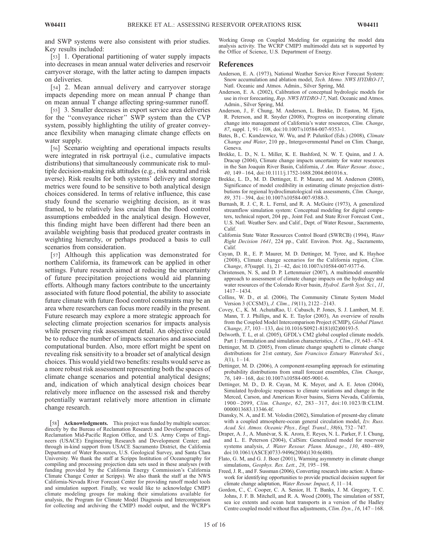and SWP systems were also consistent with prior studies. Key results included:

[53] 1. Operational partitioning of water supply impacts into decreases in mean annual water deliveries and reservoir carryover storage, with the latter acting to dampen impacts on deliveries.

[54] 2. Mean annual delivery and carryover storage impacts depending more on mean annual P change than on mean annual T change affecting spring-summer runoff.

[55] 3. Smaller decreases in export service area deliveries for the ''conveyance richer'' SWP system than the CVP system, possibly highlighting the utility of greater conveyance flexibility when managing climate change effects on water supply.

[56] Scenario weighting and operational impacts results were integrated in risk portrayal (i.e., cumulative impacts distributions) that simultaneously communicate risk to multiple decision-making risk attitudes (e.g., risk neutral and risk averse). Risk results for both systems' delivery and storage metrics were found to be sensitive to both analytical design choices considered. In terms of relative influence, this case study found the scenario weighting decision, as it was framed, to be relatively less crucial than the flood control assumptions embedded in the analytical design. However, this finding might have been different had there been an available weighting basis that produced greater contrasts in weighting hierarchy, or perhaps produced a basis to cull scenarios from consideration.

[57] Although this application was demonstrated for northern California, its framework can be applied in other settings. Future research aimed at reducing the uncertainty of future precipitation projections would aid planning efforts. Although many factors contribute to the uncertainty associated with future flood potential, the ability to associate future climate with future flood control constraints may be an area where researchers can focus more readily in the present. Future research may explore a more strategic approach for selecting climate projection scenarios for impacts analysis while preserving risk assessment detail. An objective could be to reduce the number of impacts scenarios and associated computational burden. Also, more effort might be spent on revealing risk sensitivity to a broader set of analytical design choices. This would yield two benefits: results would serve as a more robust risk assessment representing both the spaces of climate change scenarios and potential analytical designs; and, indication of which analytical design choices bear relatively more influence on the assessed risk and thereby potentially warrant relatively more attention in climate change research.

[58] Acknowledgments. This project was funded by multiple sources: directly by the Bureau of Reclamation Research and Development Office, Reclamation Mid-Pacific Region Office, and U.S. Army Corps of Engineers (USACE) Engineering Research and Development Center; and through in-kind support from USACE Sacramento District, the California Department of Water Resources, U.S. Geological Survey, and Santa Clara University. We thank the staff at Scripps Institution of Oceanography for compiling and processing projection data sets used in these analyses (with funding provided by the California Energy Commission's California Climate Change Center at Scripps). We also thank the staff at the NWS California-Nevada River Forecast Center for providing runoff model tools and simulation support. Finally, we would like to acknowledge CMIP3 climate modeling groups for making their simulations available for analysis, the Program for Climate Model Diagnosis and Intercomparison for collecting and archiving the CMIP3 model output, and the WCRP's

Working Group on Coupled Modeling for organizing the model data analysis activity. The WCRP CMIP3 multimodel data set is supported by the Office of Science, U.S. Department of Energy.

#### **References**

- Anderson, E. A. (1973), National Weather Service River Forecast System: Snow accumulation and ablation model, Tech. Memo. NWS HYDRO-17, Natl. Oceanic and Atmos. Admin., Silver Spring, Md.
- Anderson, E. A. (2002), Calibration of conceptual hydrologic models for use in river forecasting, Rep. NWS HYDRO-17, Natl. Oceanic and Atmos. Admin., Silver Spring, Md.
- Anderson, J., F. Chung, M. Anderson, L. Brekke, D. Easton, M. Ejeta, R. Peterson, and R. Snyder (2008), Progress on incorporating climate change into management of California's water resources, Clim. Change, 87, suppl. 1, 91 – 108, doi:10.1007/s10584-007-9353-1.
- Bates, B., C. Kundzewicz, W. Wu, and P. Palutikof (Eds.) (2008), Climate Change and Water, 210 pp., Intergovernmental Panel on Clim. Change, Geneva.
- Brekke, L. D., N. L. Miller, K. E. Bashford, N. W. T. Quinn, and J. A. Dracup (2004), Climate change impacts uncertainty for water resources in the San Joaquin River Basin, California, J. Am. Water Resour. Assoc., 40, 149 – 164, doi:10.1111/j.1752-1688.2004.tb01016.x.
- Brekke, L. D., M. D. Dettinger, E. P. Maurer, and M. Anderson (2008), Significance of model credibility in estimating climate projection distributions for regional hydroclimatological risk assessments, Clim. Change, 89, 371 – 394, doi:10.1007/s10584-007-9388-3.
- Burnash, R. J. C, R. L. Ferral, and R. A. McGuire (1973), A generalized streamflow simulation system: Conceptual modeling for digital computers, technical report, 204 pp., Joint Fed. and State River Forecast Cent., U.S. Natl. Weather Serv. and Calif., Dept. of Water Resour., Sacramento, Calif.
- California State Water Resources Control Board (SWRCB) (1994), Water Right Decision 1641, 224 pp., Calif. Environ. Prot. Ag., Sacramento, Calif.
- Cayan, D. R., E. P. Maurer, M. D. Dettinger, M. Tyree, and K. Hayhoe (2008), Climate change scenarios for the California region, Clim. Change, 87(suppl. 1), 21 – 42, doi:10.1007/s10584-007-9377-6.
- Christensen, N. S, and D. P. Lettenmaier (2007), A multimodel ensemble approach to assessment of climate change impacts on the hydrology and water resources of the Colorado River basin, Hydrol. Earth Syst. Sci., 11, 1417 – 1434.
- Collins, W. D., et al. (2006), The Community Climate System Model Version 3 (CCSM3), J. Clim., 19(11), 2122-2143.
- Covey, C., K. M. AchutaRao, U. Cubasch, P. Jones, S. J. Lambert, M. E. Mann, T. J. Phillips, and K. E. Taylor (2003), An overview of results from the Coupled Model Intercomparison Project (CMIP), Global Planet. Change, 37, 103 – 133, doi:10.1016/S0921-8181(02)00193-5.
- Delworth, T. L, et al. (2005), GFDL's CM2 global coupled climate models. Part 1: Formulation and simulation characteristics, *J. Clim.*, 19, 643–674.
- Dettinger, M. D. (2005), From climate change spaghetti to climate change distributions for 21st century, San Francisco Estuary Watershed Sci.,  $3(1), 1-14.$
- Dettinger, M. D. (2006), A component-resampling approach for estimating probability distributions from small forecast ensembles, Clim. Change, 76, 149 – 168, doi:10.1007/s10584-005-9001-6.
- Dettinger, M. D., D. R. Cayan, M. K. Meyer, and A. E. Jeton (2004), Simulated hydrologic responses to climate variations and change in the Merced, Carson, and American River basins, Sierra Nevada, California, 1900 – 2099, Clim. Change, 62, 283 – 317, doi:10.1023/B:CLIM. 0000013683.13346.4f.
- Diansky, N. A, and E. M. Volodin (2002), Simulation of present-day climate with a coupled atmosphere-ocean general circulation model, Izv. Russ. Acad. Sci. Atmos. Oceanic Phys., Engl. Transl., 38(6), 732-747.
- Draper, A. J., A. Munévar, S. K. Arora, E. Reyes, N. L. Parker, F. I. Chung, and L. E. Peterson (2004), CalSim: Generalized model for reservoir systems analysis, J. Water Resour. Plann. Manage., 130, 480-489, doi:10.1061/(ASCE)0733-9496(2004)130:6(480).
- Flato, G. M, and G. J. Boer (2001), Warming asymmetry in climate change simulations, Geophys. Res. Lett., 28, 195-198.
- Freed, J. R., and F. Sussman (2006), Converting research into action: A framework for identifying opportunities to provide practical decision support for climate change adaptation, Water Resour. Impact, 8, 11-14.
- Gordon, C., C. Cooper, C. A. Senior, H. T. Banks, J. M. Gregory, T. C. Johns, J. F. B. Mitchell, and R. A. Wood (2000), The simulation of SST, sea ice extents and ocean heat transports in a version of the Hadley Centre coupled model without flux adjustments, Clim. Dyn., 16, 147 – 168.